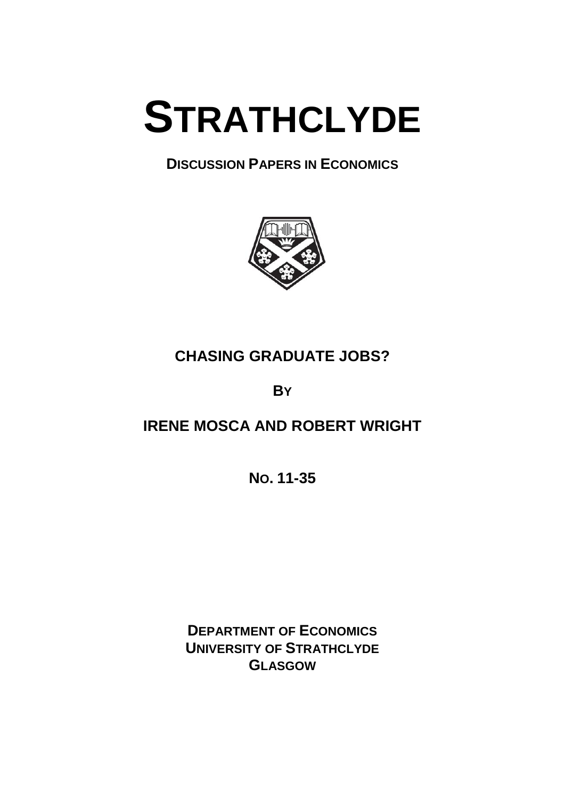

**DISCUSSION PAPERS IN ECONOMICS**



# **CHASING GRADUATE JOBS?**

**BY**

# **IRENE MOSCA AND ROBERT WRIGHT**

**NO. 11-35**

**DEPARTMENT OF ECONOMICS UNIVERSITY OF STRATHCLYDE GLASGOW**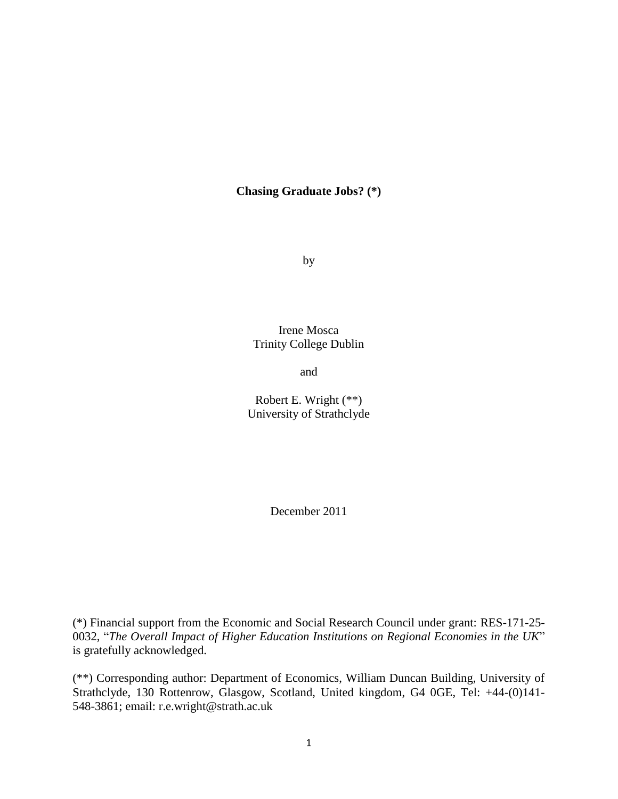## **Chasing Graduate Jobs? (\*)**

by

Irene Mosca Trinity College Dublin

and

Robert E. Wright (\*\*) University of Strathclyde

December 2011

(\*) Financial support from the Economic and Social Research Council under grant: RES-171-25- 0032, "*The Overall Impact of Higher Education Institutions on Regional Economies in the UK*" is gratefully acknowledged.

(\*\*) Corresponding author: Department of Economics, William Duncan Building, University of Strathclyde, 130 Rottenrow, Glasgow, Scotland, United kingdom, G4 0GE, Tel: +44-(0)141- 548-3861; email: r.e.wright@strath.ac.uk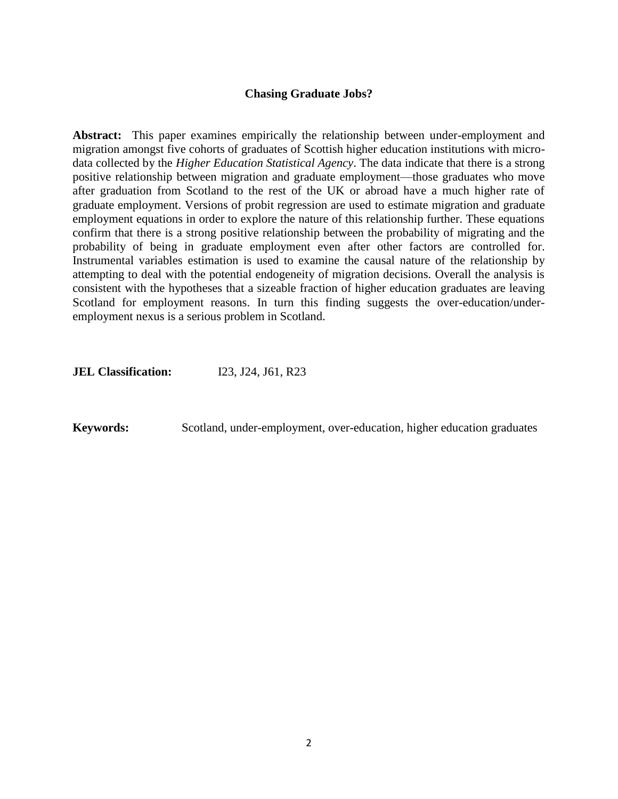### **Chasing Graduate Jobs?**

**Abstract:** This paper examines empirically the relationship between under-employment and migration amongst five cohorts of graduates of Scottish higher education institutions with microdata collected by the *Higher Education Statistical Agency*. The data indicate that there is a strong positive relationship between migration and graduate employment—those graduates who move after graduation from Scotland to the rest of the UK or abroad have a much higher rate of graduate employment. Versions of probit regression are used to estimate migration and graduate employment equations in order to explore the nature of this relationship further. These equations confirm that there is a strong positive relationship between the probability of migrating and the probability of being in graduate employment even after other factors are controlled for. Instrumental variables estimation is used to examine the causal nature of the relationship by attempting to deal with the potential endogeneity of migration decisions. Overall the analysis is consistent with the hypotheses that a sizeable fraction of higher education graduates are leaving Scotland for employment reasons. In turn this finding suggests the over-education/underemployment nexus is a serious problem in Scotland.

**JEL Classification:** I23, J24, J61, R23

**Keywords:** Scotland, under-employment, over-education, higher education graduates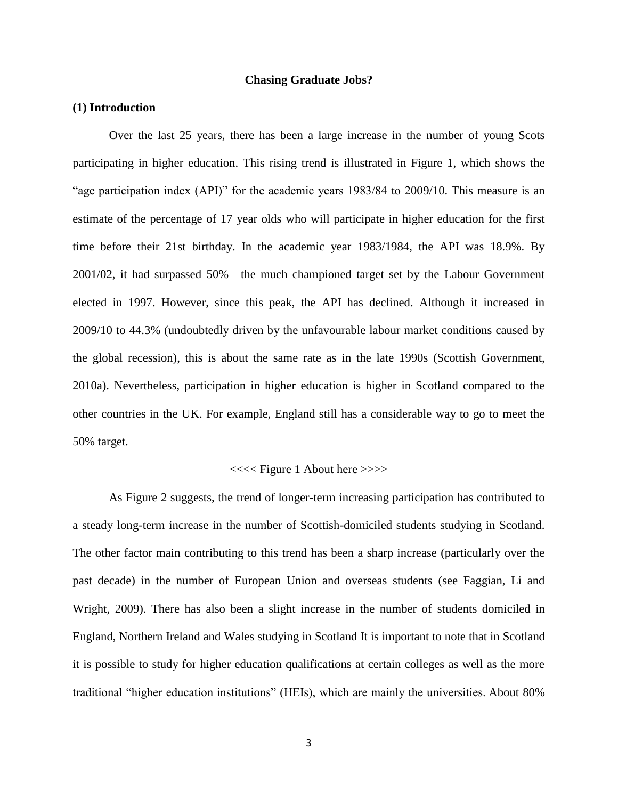#### **Chasing Graduate Jobs?**

#### **(1) Introduction**

Over the last 25 years, there has been a large increase in the number of young Scots participating in higher education. This rising trend is illustrated in Figure 1, which shows the "age participation index (API)" for the academic years 1983/84 to 2009/10. This measure is an estimate of the percentage of 17 year olds who will participate in higher education for the first time before their 21st birthday. In the academic year 1983/1984, the API was 18.9%. By 2001/02, it had surpassed 50%—the much championed target set by the Labour Government elected in 1997. However, since this peak, the API has declined. Although it increased in 2009/10 to 44.3% (undoubtedly driven by the unfavourable labour market conditions caused by the global recession), this is about the same rate as in the late 1990s (Scottish Government, 2010a). Nevertheless, participation in higher education is higher in Scotland compared to the other countries in the UK. For example, England still has a considerable way to go to meet the 50% target.

#### <<<< Figure 1 About here >>>>

As Figure 2 suggests, the trend of longer-term increasing participation has contributed to a steady long-term increase in the number of Scottish-domiciled students studying in Scotland. The other factor main contributing to this trend has been a sharp increase (particularly over the past decade) in the number of European Union and overseas students (see Faggian, Li and Wright, 2009). There has also been a slight increase in the number of students domiciled in England, Northern Ireland and Wales studying in Scotland It is important to note that in Scotland it is possible to study for higher education qualifications at certain colleges as well as the more traditional "higher education institutions" (HEIs), which are mainly the universities. About 80%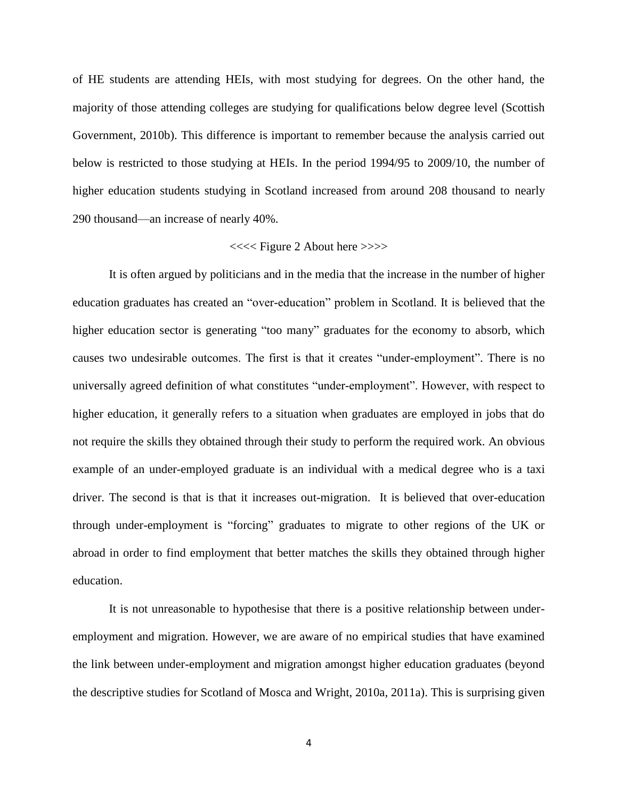of HE students are attending HEIs, with most studying for degrees. On the other hand, the majority of those attending colleges are studying for qualifications below degree level (Scottish Government, 2010b). This difference is important to remember because the analysis carried out below is restricted to those studying at HEIs. In the period 1994/95 to 2009/10, the number of higher education students studying in Scotland increased from around 208 thousand to nearly 290 thousand—an increase of nearly 40%.

#### <<<< Figure 2 About here >>>>

It is often argued by politicians and in the media that the increase in the number of higher education graduates has created an "over-education" problem in Scotland. It is believed that the higher education sector is generating "too many" graduates for the economy to absorb, which causes two undesirable outcomes. The first is that it creates "under-employment". There is no universally agreed definition of what constitutes "under-employment". However, with respect to higher education, it generally refers to a situation when graduates are employed in jobs that do not require the skills they obtained through their study to perform the required work. An obvious example of an under-employed graduate is an individual with a medical degree who is a taxi driver. The second is that is that it increases out-migration. It is believed that over-education through under-employment is "forcing" graduates to migrate to other regions of the UK or abroad in order to find employment that better matches the skills they obtained through higher education.

It is not unreasonable to hypothesise that there is a positive relationship between underemployment and migration. However, we are aware of no empirical studies that have examined the link between under-employment and migration amongst higher education graduates (beyond the descriptive studies for Scotland of Mosca and Wright, 2010a, 2011a). This is surprising given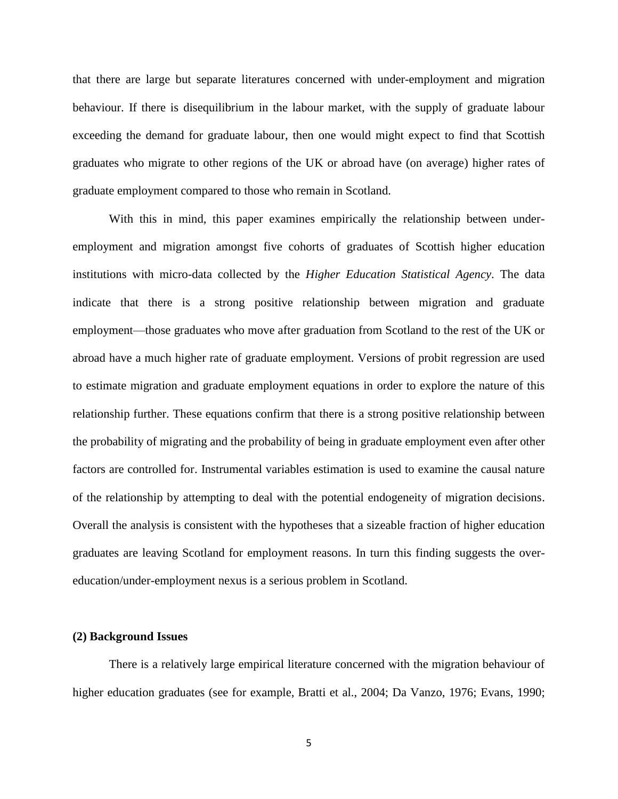that there are large but separate literatures concerned with under-employment and migration behaviour. If there is disequilibrium in the labour market, with the supply of graduate labour exceeding the demand for graduate labour, then one would might expect to find that Scottish graduates who migrate to other regions of the UK or abroad have (on average) higher rates of graduate employment compared to those who remain in Scotland.

With this in mind, this paper examines empirically the relationship between underemployment and migration amongst five cohorts of graduates of Scottish higher education institutions with micro-data collected by the *Higher Education Statistical Agency*. The data indicate that there is a strong positive relationship between migration and graduate employment—those graduates who move after graduation from Scotland to the rest of the UK or abroad have a much higher rate of graduate employment. Versions of probit regression are used to estimate migration and graduate employment equations in order to explore the nature of this relationship further. These equations confirm that there is a strong positive relationship between the probability of migrating and the probability of being in graduate employment even after other factors are controlled for. Instrumental variables estimation is used to examine the causal nature of the relationship by attempting to deal with the potential endogeneity of migration decisions. Overall the analysis is consistent with the hypotheses that a sizeable fraction of higher education graduates are leaving Scotland for employment reasons. In turn this finding suggests the overeducation/under-employment nexus is a serious problem in Scotland.

#### **(2) Background Issues**

There is a relatively large empirical literature concerned with the migration behaviour of higher education graduates (see for example, Bratti et al., 2004; Da Vanzo, 1976; Evans, 1990;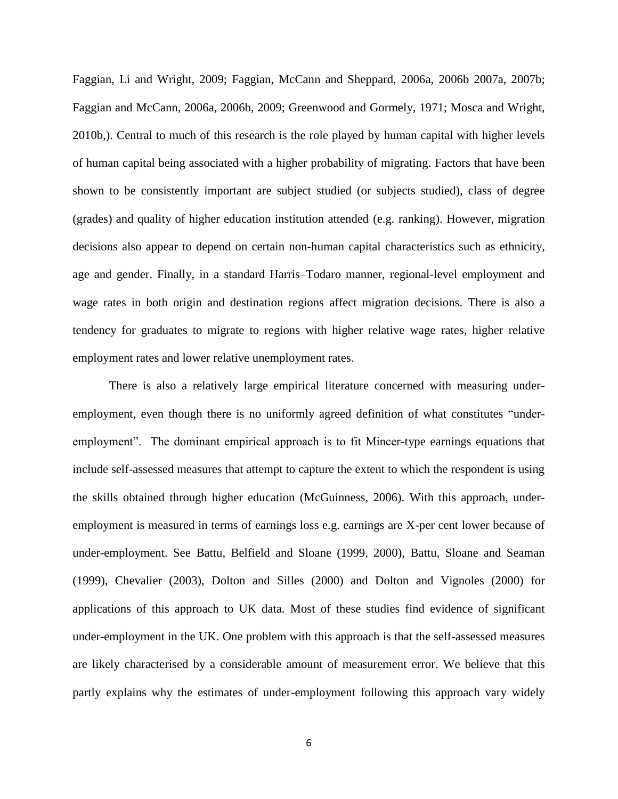Faggian, Li and Wright, 2009; Faggian, McCann and Sheppard, 2006a, 2006b 2007a, 2007b; Faggian and McCann, 2006a, 2006b, 2009; Greenwood and Gormely, 1971; Mosca and Wright, 2010b,). Central to much of this research is the role played by human capital with higher levels of human capital being associated with a higher probability of migrating. Factors that have been shown to be consistently important are subject studied (or subjects studied), class of degree (grades) and quality of higher education institution attended (e.g. ranking). However, migration decisions also appear to depend on certain non-human capital characteristics such as ethnicity, age and gender. Finally, in a standard Harris–Todaro manner, regional-level employment and wage rates in both origin and destination regions affect migration decisions. There is also a tendency for graduates to migrate to regions with higher relative wage rates, higher relative employment rates and lower relative unemployment rates.

There is also a relatively large empirical literature concerned with measuring underemployment, even though there is no uniformly agreed definition of what constitutes "underemployment". The dominant empirical approach is to fit Mincer-type earnings equations that include self-assessed measures that attempt to capture the extent to which the respondent is using the skills obtained through higher education (McGuinness, 2006). With this approach, underemployment is measured in terms of earnings loss e.g. earnings are X-per cent lower because of under-employment. See Battu, [Belfield](http://ner.sagepub.com/search?author1=C.R.+Belfield&sortspec=date&submit=Submit) and [Sloane](http://ner.sagepub.com/search?author1=P.J.+Sloane&sortspec=date&submit=Submit) (1999, 2000), Battu, Sloane and Seaman (1999), Chevalier (2003), Dolton and Silles (2000) and Dolton and Vignoles (2000) for applications of this approach to UK data. Most of these studies find evidence of significant under-employment in the UK. One problem with this approach is that the self-assessed measures are likely characterised by a considerable amount of measurement error. We believe that this partly explains why the estimates of under-employment following this approach vary widely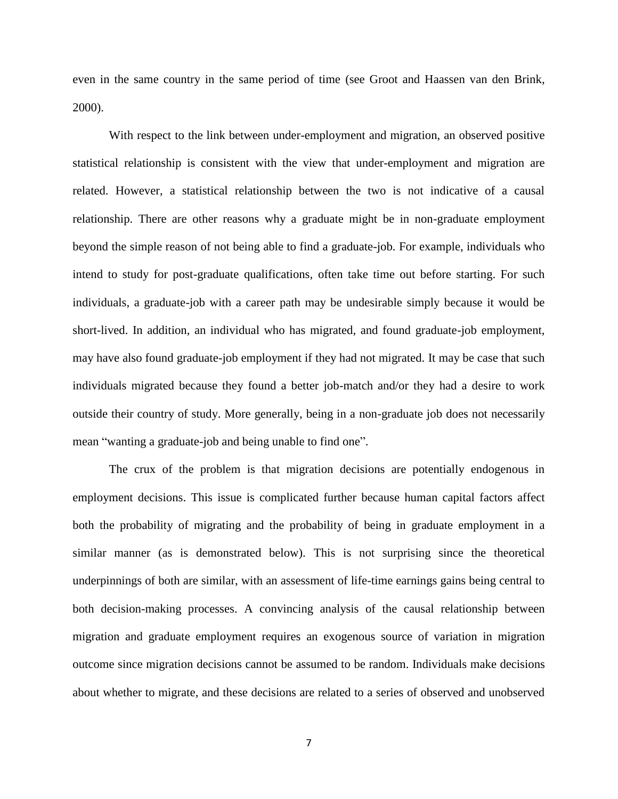even in the same country in the same period of time (see Groot and Haassen van den Brink, 2000).

With respect to the link between under-employment and migration, an observed positive statistical relationship is consistent with the view that under-employment and migration are related. However, a statistical relationship between the two is not indicative of a causal relationship. There are other reasons why a graduate might be in non-graduate employment beyond the simple reason of not being able to find a graduate-job. For example, individuals who intend to study for post-graduate qualifications, often take time out before starting. For such individuals, a graduate-job with a career path may be undesirable simply because it would be short-lived. In addition, an individual who has migrated, and found graduate-job employment, may have also found graduate-job employment if they had not migrated. It may be case that such individuals migrated because they found a better job-match and/or they had a desire to work outside their country of study. More generally, being in a non-graduate job does not necessarily mean "wanting a graduate-job and being unable to find one".

The crux of the problem is that migration decisions are potentially endogenous in employment decisions. This issue is complicated further because human capital factors affect both the probability of migrating and the probability of being in graduate employment in a similar manner (as is demonstrated below). This is not surprising since the theoretical underpinnings of both are similar, with an assessment of life-time earnings gains being central to both decision-making processes. A convincing analysis of the causal relationship between migration and graduate employment requires an exogenous source of variation in migration outcome since migration decisions cannot be assumed to be random. Individuals make decisions about whether to migrate, and these decisions are related to a series of observed and unobserved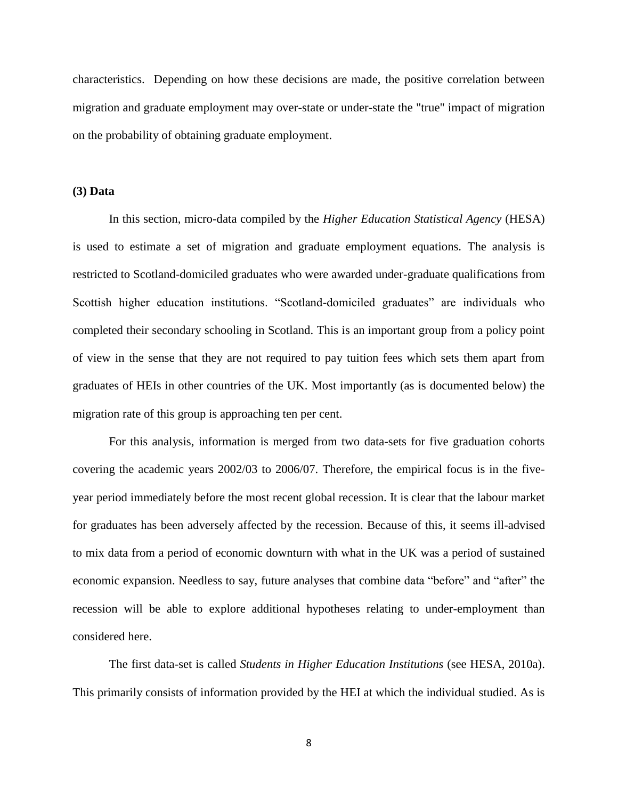characteristics. Depending on how these decisions are made, the positive correlation between migration and graduate employment may over-state or under-state the "true" impact of migration on the probability of obtaining graduate employment.

#### **(3) Data**

In this section, micro-data compiled by the *Higher Education Statistical Agency* (HESA) is used to estimate a set of migration and graduate employment equations. The analysis is restricted to Scotland-domiciled graduates who were awarded under-graduate qualifications from Scottish higher education institutions. "Scotland-domiciled graduates" are individuals who completed their secondary schooling in Scotland. This is an important group from a policy point of view in the sense that they are not required to pay tuition fees which sets them apart from graduates of HEIs in other countries of the UK. Most importantly (as is documented below) the migration rate of this group is approaching ten per cent.

For this analysis, information is merged from two data-sets for five graduation cohorts covering the academic years 2002/03 to 2006/07. Therefore, the empirical focus is in the fiveyear period immediately before the most recent global recession. It is clear that the labour market for graduates has been adversely affected by the recession. Because of this, it seems ill-advised to mix data from a period of economic downturn with what in the UK was a period of sustained economic expansion. Needless to say, future analyses that combine data "before" and "after" the recession will be able to explore additional hypotheses relating to under-employment than considered here.

The first data-set is called *Students in Higher Education Institutions* (see HESA, 2010a). This primarily consists of information provided by the HEI at which the individual studied. As is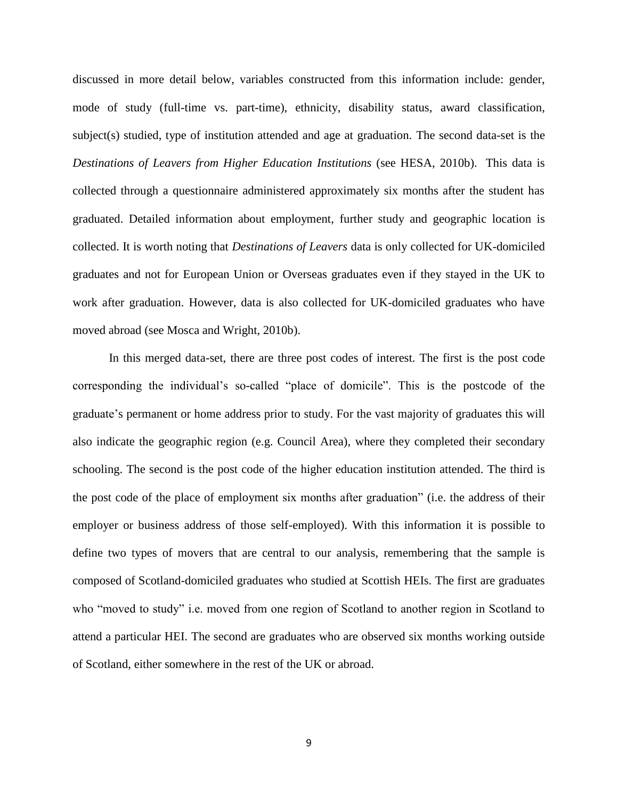discussed in more detail below, variables constructed from this information include: gender, mode of study (full-time vs. part-time), ethnicity, disability status, award classification, subject(s) studied, type of institution attended and age at graduation. The second data-set is the *Destinations of Leavers from Higher Education Institutions* (see HESA, 2010b). This data is collected through a questionnaire administered approximately six months after the student has graduated. Detailed information about employment, further study and geographic location is collected. It is worth noting that *Destinations of Leavers* data is only collected for UK-domiciled graduates and not for European Union or Overseas graduates even if they stayed in the UK to work after graduation. However, data is also collected for UK-domiciled graduates who have moved abroad (see Mosca and Wright, 2010b).

In this merged data-set, there are three post codes of interest. The first is the post code corresponding the individual's so-called "place of domicile". This is the postcode of the graduate's permanent or home address prior to study. For the vast majority of graduates this will also indicate the geographic region (e.g. Council Area), where they completed their secondary schooling. The second is the post code of the higher education institution attended. The third is the post code of the place of employment six months after graduation" (i.e. the address of their employer or business address of those self-employed). With this information it is possible to define two types of movers that are central to our analysis, remembering that the sample is composed of Scotland-domiciled graduates who studied at Scottish HEIs. The first are graduates who "moved to study" i.e. moved from one region of Scotland to another region in Scotland to attend a particular HEI. The second are graduates who are observed six months working outside of Scotland, either somewhere in the rest of the UK or abroad.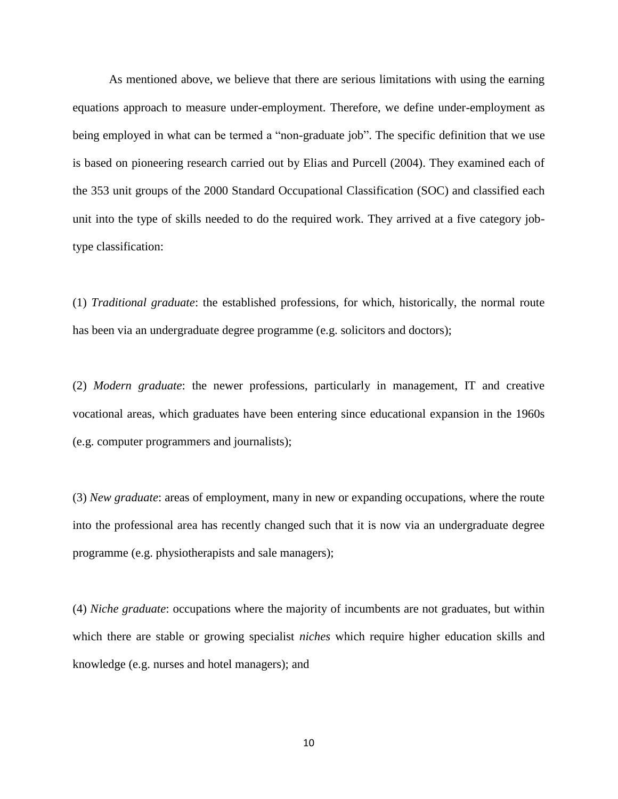As mentioned above, we believe that there are serious limitations with using the earning equations approach to measure under-employment. Therefore, we define under-employment as being employed in what can be termed a "non-graduate job". The specific definition that we use is based on pioneering research carried out by Elias and Purcell (2004). They examined each of the 353 unit groups of the 2000 Standard Occupational Classification (SOC) and classified each unit into the type of skills needed to do the required work. They arrived at a five category jobtype classification:

(1) *Traditional graduate*: the established professions, for which, historically, the normal route has been via an undergraduate degree programme (e.g. solicitors and doctors);

(2) *Modern graduate*: the newer professions, particularly in management, IT and creative vocational areas, which graduates have been entering since educational expansion in the 1960s (e.g. computer programmers and journalists);

(3) *New graduate*: areas of employment, many in new or expanding occupations, where the route into the professional area has recently changed such that it is now via an undergraduate degree programme (e.g. physiotherapists and sale managers);

(4) *Niche graduate*: occupations where the majority of incumbents are not graduates, but within which there are stable or growing specialist *niches* which require higher education skills and knowledge (e.g. nurses and hotel managers); and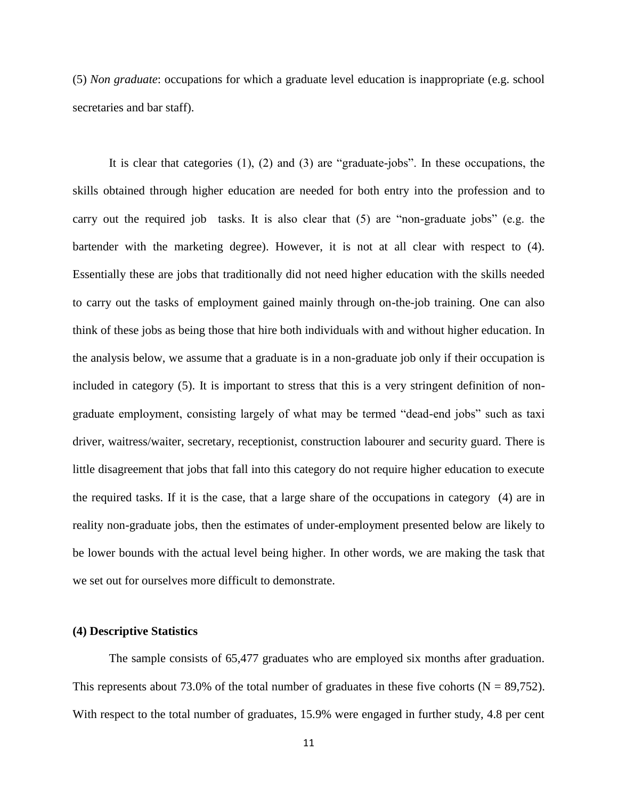(5) *Non graduate*: occupations for which a graduate level education is inappropriate (e.g. school secretaries and bar staff).

It is clear that categories (1), (2) and (3) are "graduate-jobs". In these occupations, the skills obtained through higher education are needed for both entry into the profession and to carry out the required job tasks. It is also clear that (5) are "non-graduate jobs" (e.g. the bartender with the marketing degree). However, it is not at all clear with respect to (4). Essentially these are jobs that traditionally did not need higher education with the skills needed to carry out the tasks of employment gained mainly through on-the-job training. One can also think of these jobs as being those that hire both individuals with and without higher education. In the analysis below, we assume that a graduate is in a non-graduate job only if their occupation is included in category (5). It is important to stress that this is a very stringent definition of nongraduate employment, consisting largely of what may be termed "dead-end jobs" such as taxi driver, waitress/waiter, secretary, receptionist, construction labourer and security guard. There is little disagreement that jobs that fall into this category do not require higher education to execute the required tasks. If it is the case, that a large share of the occupations in category (4) are in reality non-graduate jobs, then the estimates of under-employment presented below are likely to be lower bounds with the actual level being higher. In other words, we are making the task that we set out for ourselves more difficult to demonstrate.

#### **(4) Descriptive Statistics**

The sample consists of 65,477 graduates who are employed six months after graduation. This represents about 73.0% of the total number of graduates in these five cohorts ( $N = 89,752$ ). With respect to the total number of graduates, 15.9% were engaged in further study, 4.8 per cent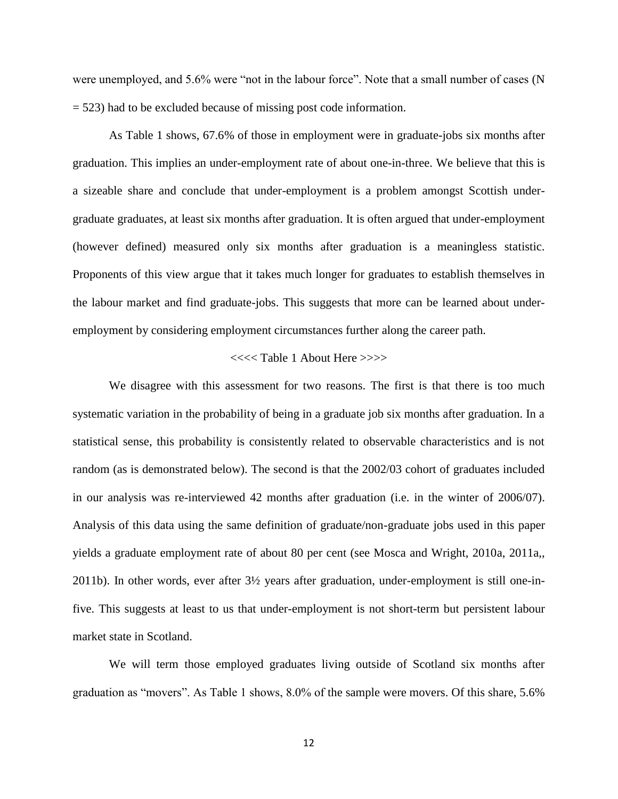were unemployed, and 5.6% were "not in the labour force". Note that a small number of cases (N = 523) had to be excluded because of missing post code information.

As Table 1 shows, 67.6% of those in employment were in graduate-jobs six months after graduation. This implies an under-employment rate of about one-in-three. We believe that this is a sizeable share and conclude that under-employment is a problem amongst Scottish undergraduate graduates, at least six months after graduation. It is often argued that under-employment (however defined) measured only six months after graduation is a meaningless statistic. Proponents of this view argue that it takes much longer for graduates to establish themselves in the labour market and find graduate-jobs. This suggests that more can be learned about underemployment by considering employment circumstances further along the career path.

#### <<<< Table 1 About Here >>>>

We disagree with this assessment for two reasons. The first is that there is too much systematic variation in the probability of being in a graduate job six months after graduation. In a statistical sense, this probability is consistently related to observable characteristics and is not random (as is demonstrated below). The second is that the 2002/03 cohort of graduates included in our analysis was re-interviewed 42 months after graduation (i.e. in the winter of 2006/07). Analysis of this data using the same definition of graduate/non-graduate jobs used in this paper yields a graduate employment rate of about 80 per cent (see Mosca and Wright, 2010a, 2011a,, 2011b). In other words, ever after 3½ years after graduation, under-employment is still one-infive. This suggests at least to us that under-employment is not short-term but persistent labour market state in Scotland.

We will term those employed graduates living outside of Scotland six months after graduation as "movers". As Table 1 shows, 8.0% of the sample were movers. Of this share, 5.6%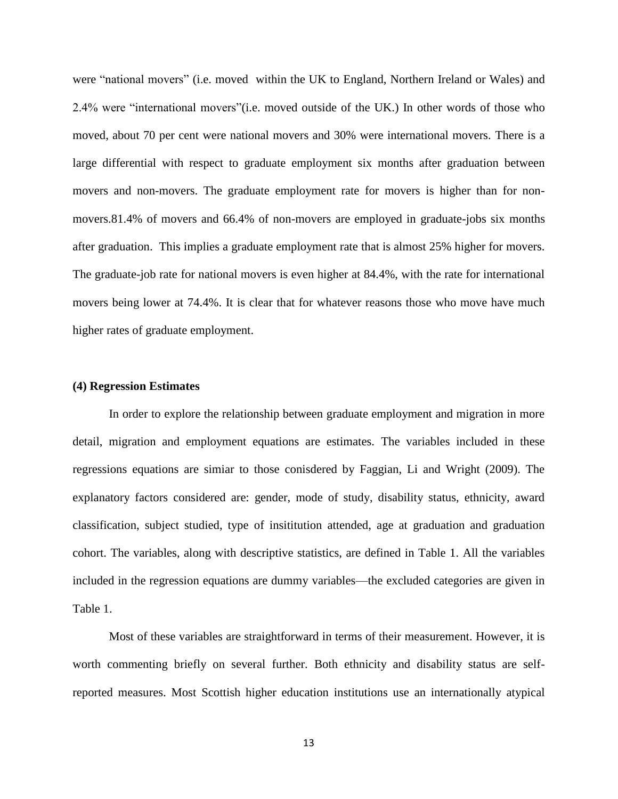were "national movers" (i.e. moved within the UK to England, Northern Ireland or Wales) and 2.4% were "international movers"(i.e. moved outside of the UK.) In other words of those who moved, about 70 per cent were national movers and 30% were international movers. There is a large differential with respect to graduate employment six months after graduation between movers and non-movers. The graduate employment rate for movers is higher than for nonmovers.81.4% of movers and 66.4% of non-movers are employed in graduate-jobs six months after graduation. This implies a graduate employment rate that is almost 25% higher for movers. The graduate-job rate for national movers is even higher at 84.4%, with the rate for international movers being lower at 74.4%. It is clear that for whatever reasons those who move have much higher rates of graduate employment.

#### **(4) Regression Estimates**

In order to explore the relationship between graduate employment and migration in more detail, migration and employment equations are estimates. The variables included in these regressions equations are simiar to those conisdered by Faggian, Li and Wright (2009). The explanatory factors considered are: gender, mode of study, disability status, ethnicity, award classification, subject studied, type of insititution attended, age at graduation and graduation cohort. The variables, along with descriptive statistics, are defined in Table 1. All the variables included in the regression equations are dummy variables—the excluded categories are given in Table 1.

Most of these variables are straightforward in terms of their measurement. However, it is worth commenting briefly on several further. Both ethnicity and disability status are selfreported measures. Most Scottish higher education institutions use an internationally atypical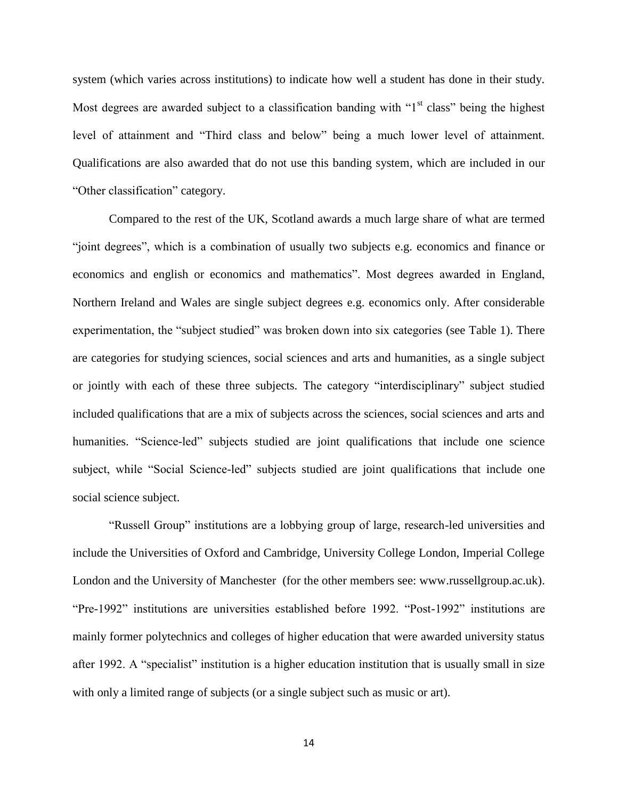system (which varies across institutions) to indicate how well a student has done in their study. Most degrees are awarded subject to a classification banding with " $1<sup>st</sup>$  class" being the highest level of attainment and "Third class and below" being a much lower level of attainment. Qualifications are also awarded that do not use this banding system, which are included in our "Other classification" category.

Compared to the rest of the UK, Scotland awards a much large share of what are termed "joint degrees", which is a combination of usually two subjects e.g. economics and finance or economics and english or economics and mathematics". Most degrees awarded in England, Northern Ireland and Wales are single subject degrees e.g. economics only. After considerable experimentation, the "subject studied" was broken down into six categories (see Table 1). There are categories for studying sciences, social sciences and arts and humanities, as a single subject or jointly with each of these three subjects. The category "interdisciplinary" subject studied included qualifications that are a mix of subjects across the sciences, social sciences and arts and humanities. "Science-led" subjects studied are joint qualifications that include one science subject, while "Social Science-led" subjects studied are joint qualifications that include one social science subject.

"Russell Group" institutions are a lobbying group of large, research-led universities and include the Universities of Oxford and Cambridge, University College London, Imperial College London and the University of Manchester (for the other members see: www.russellgroup.ac.uk). "Pre-1992" institutions are universities established before 1992. "Post-1992" institutions are mainly former polytechnics and colleges of higher education that were awarded university status after 1992. A "specialist" institution is a higher education institution that is usually small in size with only a limited range of subjects (or a single subject such as music or art).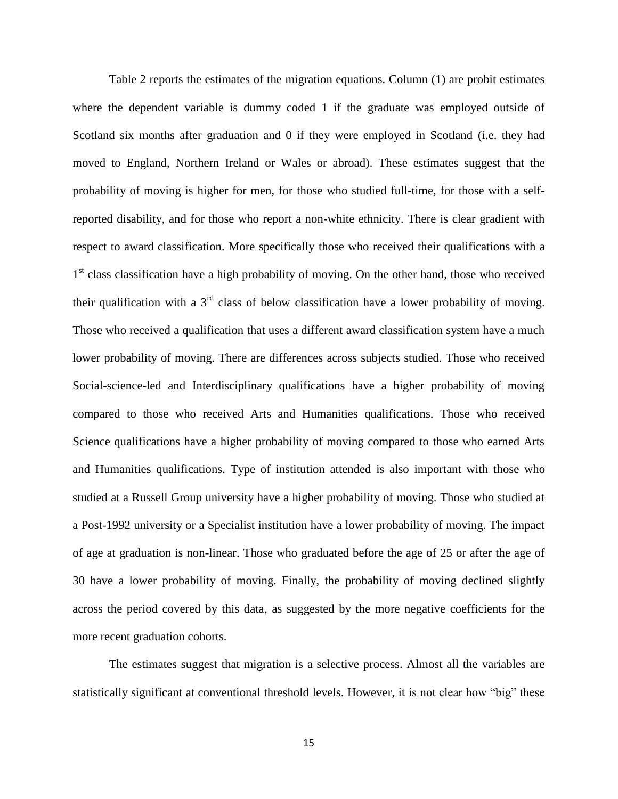Table 2 reports the estimates of the migration equations. Column (1) are probit estimates where the dependent variable is dummy coded 1 if the graduate was employed outside of Scotland six months after graduation and 0 if they were employed in Scotland (i.e. they had moved to England, Northern Ireland or Wales or abroad). These estimates suggest that the probability of moving is higher for men, for those who studied full-time, for those with a selfreported disability, and for those who report a non-white ethnicity. There is clear gradient with respect to award classification. More specifically those who received their qualifications with a 1<sup>st</sup> class classification have a high probability of moving. On the other hand, those who received their qualification with a  $3<sup>rd</sup>$  class of below classification have a lower probability of moving. Those who received a qualification that uses a different award classification system have a much lower probability of moving. There are differences across subjects studied. Those who received Social-science-led and Interdisciplinary qualifications have a higher probability of moving compared to those who received Arts and Humanities qualifications. Those who received Science qualifications have a higher probability of moving compared to those who earned Arts and Humanities qualifications. Type of institution attended is also important with those who studied at a Russell Group university have a higher probability of moving. Those who studied at a Post-1992 university or a Specialist institution have a lower probability of moving. The impact of age at graduation is non-linear. Those who graduated before the age of 25 or after the age of 30 have a lower probability of moving. Finally, the probability of moving declined slightly across the period covered by this data, as suggested by the more negative coefficients for the more recent graduation cohorts.

The estimates suggest that migration is a selective process. Almost all the variables are statistically significant at conventional threshold levels. However, it is not clear how "big" these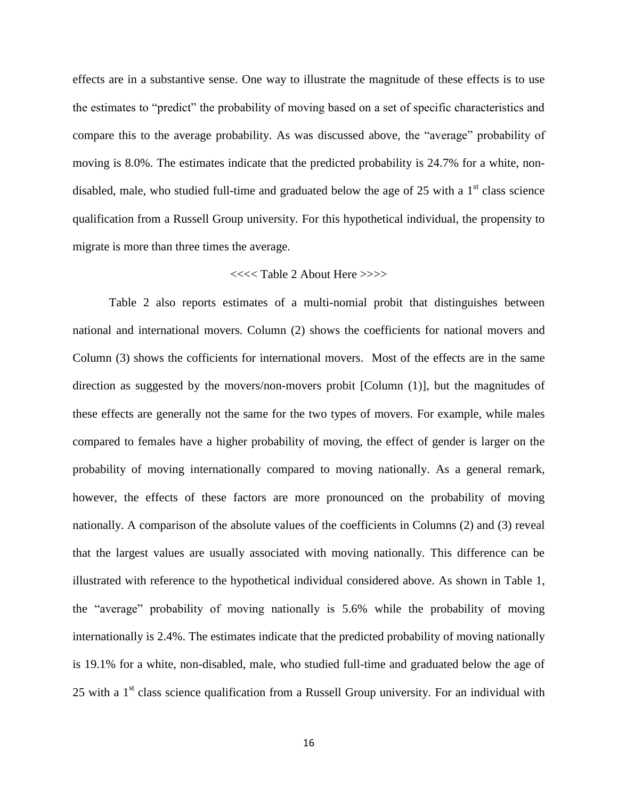effects are in a substantive sense. One way to illustrate the magnitude of these effects is to use the estimates to "predict" the probability of moving based on a set of specific characteristics and compare this to the average probability. As was discussed above, the "average" probability of moving is 8.0%. The estimates indicate that the predicted probability is 24.7% for a white, nondisabled, male, who studied full-time and graduated below the age of 25 with a  $1<sup>st</sup>$  class science qualification from a Russell Group university. For this hypothetical individual, the propensity to migrate is more than three times the average.

#### <<<< Table 2 About Here >>>>

Table 2 also reports estimates of a multi-nomial probit that distinguishes between national and international movers. Column (2) shows the coefficients for national movers and Column (3) shows the cofficients for international movers. Most of the effects are in the same direction as suggested by the movers/non-movers probit [Column (1)], but the magnitudes of these effects are generally not the same for the two types of movers. For example, while males compared to females have a higher probability of moving, the effect of gender is larger on the probability of moving internationally compared to moving nationally. As a general remark, however, the effects of these factors are more pronounced on the probability of moving nationally. A comparison of the absolute values of the coefficients in Columns (2) and (3) reveal that the largest values are usually associated with moving nationally. This difference can be illustrated with reference to the hypothetical individual considered above. As shown in Table 1, the "average" probability of moving nationally is 5.6% while the probability of moving internationally is 2.4%. The estimates indicate that the predicted probability of moving nationally is 19.1% for a white, non-disabled, male, who studied full-time and graduated below the age of 25 with a  $1<sup>st</sup>$  class science qualification from a Russell Group university. For an individual with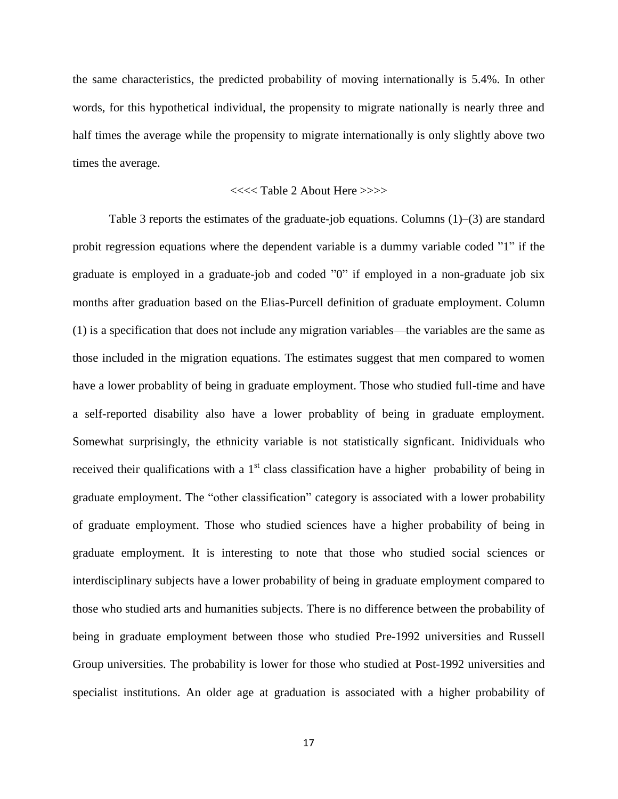the same characteristics, the predicted probability of moving internationally is 5.4%. In other words, for this hypothetical individual, the propensity to migrate nationally is nearly three and half times the average while the propensity to migrate internationally is only slightly above two times the average.

#### <<<< Table 2 About Here >>>>

Table 3 reports the estimates of the graduate-job equations. Columns (1)–(3) are standard probit regression equations where the dependent variable is a dummy variable coded "1" if the graduate is employed in a graduate-job and coded "0" if employed in a non-graduate job six months after graduation based on the Elias-Purcell definition of graduate employment. Column (1) is a specification that does not include any migration variables—the variables are the same as those included in the migration equations. The estimates suggest that men compared to women have a lower probablity of being in graduate employment. Those who studied full-time and have a self-reported disability also have a lower probablity of being in graduate employment. Somewhat surprisingly, the ethnicity variable is not statistically signficant. Inidividuals who received their qualifications with a  $1<sup>st</sup>$  class classification have a higher probability of being in graduate employment. The "other classification" category is associated with a lower probability of graduate employment. Those who studied sciences have a higher probability of being in graduate employment. It is interesting to note that those who studied social sciences or interdisciplinary subjects have a lower probability of being in graduate employment compared to those who studied arts and humanities subjects. There is no difference between the probability of being in graduate employment between those who studied Pre-1992 universities and Russell Group universities. The probability is lower for those who studied at Post-1992 universities and specialist institutions. An older age at graduation is associated with a higher probability of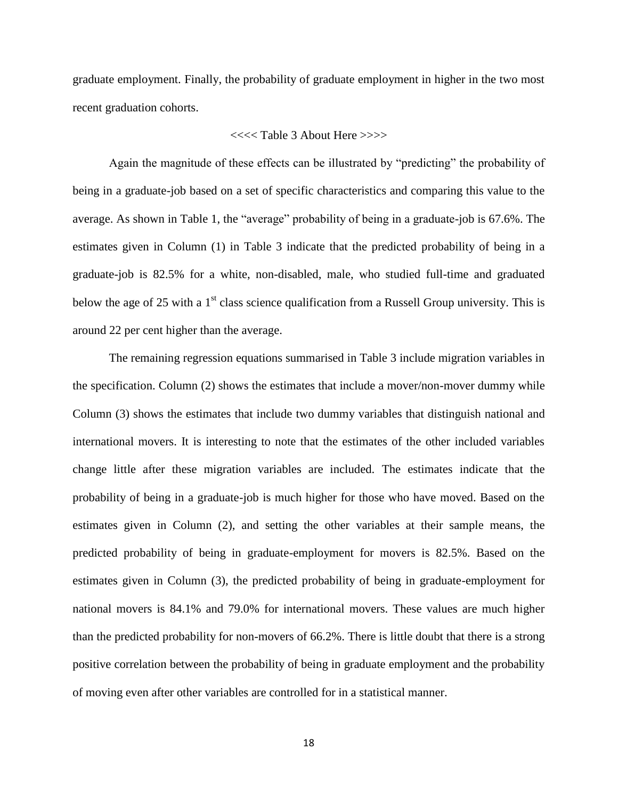graduate employment. Finally, the probability of graduate employment in higher in the two most recent graduation cohorts.

#### <<<< Table 3 About Here >>>>

Again the magnitude of these effects can be illustrated by "predicting" the probability of being in a graduate-job based on a set of specific characteristics and comparing this value to the average. As shown in Table 1, the "average" probability of being in a graduate-job is 67.6%. The estimates given in Column (1) in Table 3 indicate that the predicted probability of being in a graduate-job is 82.5% for a white, non-disabled, male, who studied full-time and graduated below the age of 25 with a  $1<sup>st</sup>$  class science qualification from a Russell Group university. This is around 22 per cent higher than the average.

The remaining regression equations summarised in Table 3 include migration variables in the specification. Column (2) shows the estimates that include a mover/non-mover dummy while Column (3) shows the estimates that include two dummy variables that distinguish national and international movers. It is interesting to note that the estimates of the other included variables change little after these migration variables are included. The estimates indicate that the probability of being in a graduate-job is much higher for those who have moved. Based on the estimates given in Column (2), and setting the other variables at their sample means, the predicted probability of being in graduate-employment for movers is 82.5%. Based on the estimates given in Column (3), the predicted probability of being in graduate-employment for national movers is 84.1% and 79.0% for international movers. These values are much higher than the predicted probability for non-movers of 66.2%. There is little doubt that there is a strong positive correlation between the probability of being in graduate employment and the probability of moving even after other variables are controlled for in a statistical manner.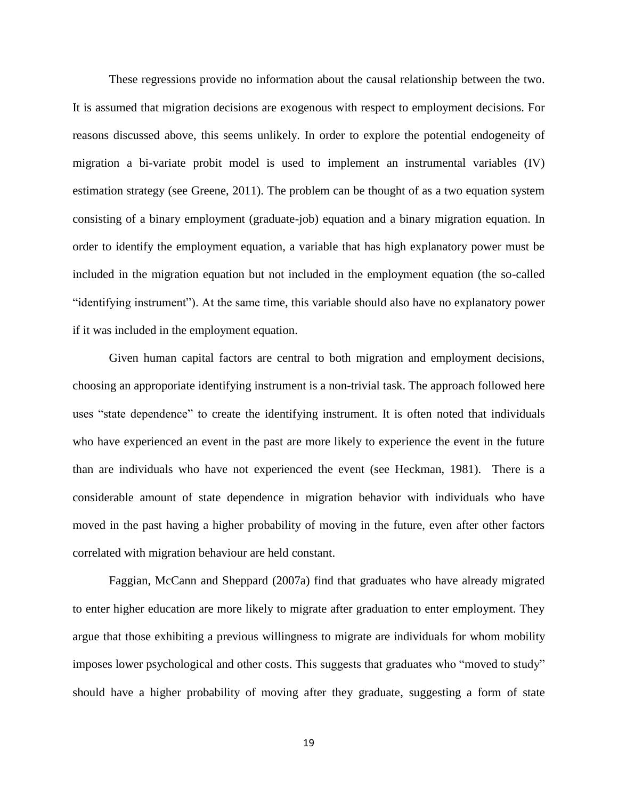These regressions provide no information about the causal relationship between the two. It is assumed that migration decisions are exogenous with respect to employment decisions. For reasons discussed above, this seems unlikely. In order to explore the potential endogeneity of migration a bi-variate probit model is used to implement an instrumental variables (IV) estimation strategy (see Greene, 2011). The problem can be thought of as a two equation system consisting of a binary employment (graduate-job) equation and a binary migration equation. In order to identify the employment equation, a variable that has high explanatory power must be included in the migration equation but not included in the employment equation (the so-called "identifying instrument"). At the same time, this variable should also have no explanatory power if it was included in the employment equation.

Given human capital factors are central to both migration and employment decisions, choosing an approporiate identifying instrument is a non-trivial task. The approach followed here uses "state dependence" to create the identifying instrument. It is often noted that individuals who have experienced an event in the past are more likely to experience the event in the future than are individuals who have not experienced the event (see Heckman, 1981). There is a considerable amount of state dependence in migration behavior with individuals who have moved in the past having a higher probability of moving in the future, even after other factors correlated with migration behaviour are held constant.

Faggian, McCann and Sheppard (2007a) find that graduates who have already migrated to enter higher education are more likely to migrate after graduation to enter employment. They argue that those exhibiting a previous willingness to migrate are individuals for whom mobility imposes lower psychological and other costs. This suggests that graduates who "moved to study" should have a higher probability of moving after they graduate, suggesting a form of state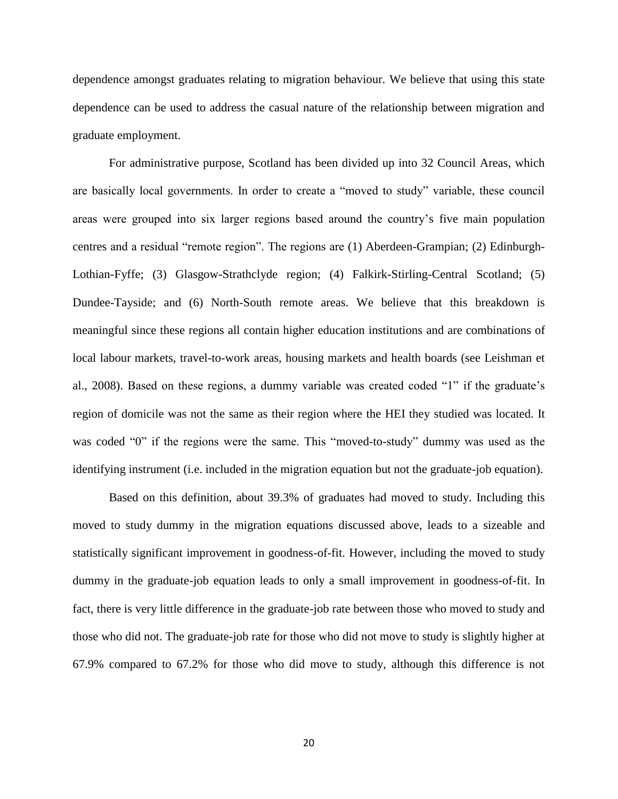dependence amongst graduates relating to migration behaviour. We believe that using this state dependence can be used to address the casual nature of the relationship between migration and graduate employment.

For administrative purpose, Scotland has been divided up into 32 Council Areas, which are basically local governments. In order to create a "moved to study" variable, these council areas were grouped into six larger regions based around the country's five main population centres and a residual "remote region". The regions are (1) Aberdeen-Grampian; (2) Edinburgh-Lothian-Fyffe; (3) Glasgow-Strathclyde region; (4) Falkirk-Stirling-Central Scotland; (5) Dundee-Tayside; and (6) North-South remote areas. We believe that this breakdown is meaningful since these regions all contain higher education institutions and are combinations of local labour markets, travel-to-work areas, housing markets and health boards (see Leishman et al., 2008). Based on these regions, a dummy variable was created coded "1" if the graduate's region of domicile was not the same as their region where the HEI they studied was located. It was coded "0" if the regions were the same. This "moved-to-study" dummy was used as the identifying instrument (i.e. included in the migration equation but not the graduate-job equation).

Based on this definition, about 39.3% of graduates had moved to study. Including this moved to study dummy in the migration equations discussed above, leads to a sizeable and statistically significant improvement in goodness-of-fit. However, including the moved to study dummy in the graduate-job equation leads to only a small improvement in goodness-of-fit. In fact, there is very little difference in the graduate-job rate between those who moved to study and those who did not. The graduate-job rate for those who did not move to study is slightly higher at 67.9% compared to 67.2% for those who did move to study, although this difference is not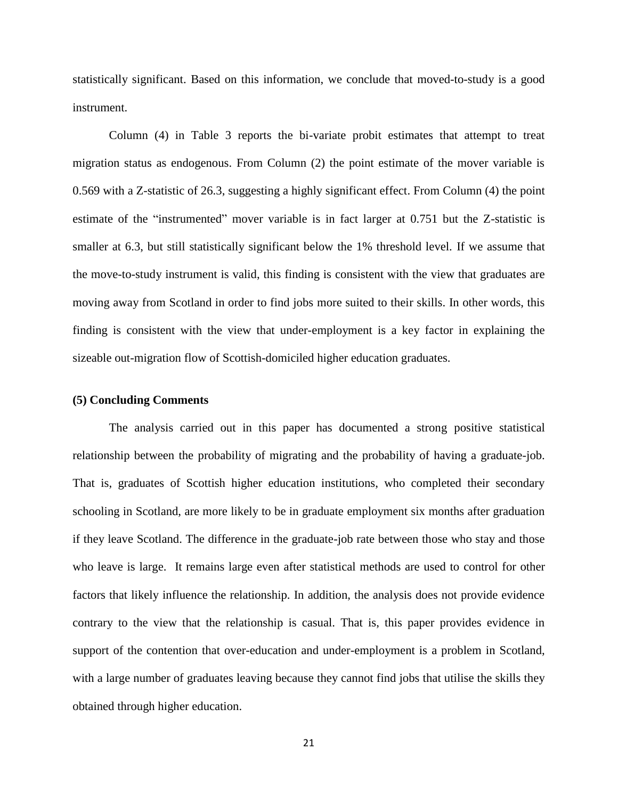statistically significant. Based on this information, we conclude that moved-to-study is a good instrument.

Column (4) in Table 3 reports the bi-variate probit estimates that attempt to treat migration status as endogenous. From Column (2) the point estimate of the mover variable is 0.569 with a Z-statistic of 26.3, suggesting a highly significant effect. From Column (4) the point estimate of the "instrumented" mover variable is in fact larger at 0.751 but the Z-statistic is smaller at 6.3, but still statistically significant below the 1% threshold level. If we assume that the move-to-study instrument is valid, this finding is consistent with the view that graduates are moving away from Scotland in order to find jobs more suited to their skills. In other words, this finding is consistent with the view that under-employment is a key factor in explaining the sizeable out-migration flow of Scottish-domiciled higher education graduates.

#### **(5) Concluding Comments**

The analysis carried out in this paper has documented a strong positive statistical relationship between the probability of migrating and the probability of having a graduate-job. That is, graduates of Scottish higher education institutions, who completed their secondary schooling in Scotland, are more likely to be in graduate employment six months after graduation if they leave Scotland. The difference in the graduate-job rate between those who stay and those who leave is large. It remains large even after statistical methods are used to control for other factors that likely influence the relationship. In addition, the analysis does not provide evidence contrary to the view that the relationship is casual. That is, this paper provides evidence in support of the contention that over-education and under-employment is a problem in Scotland, with a large number of graduates leaving because they cannot find jobs that utilise the skills they obtained through higher education.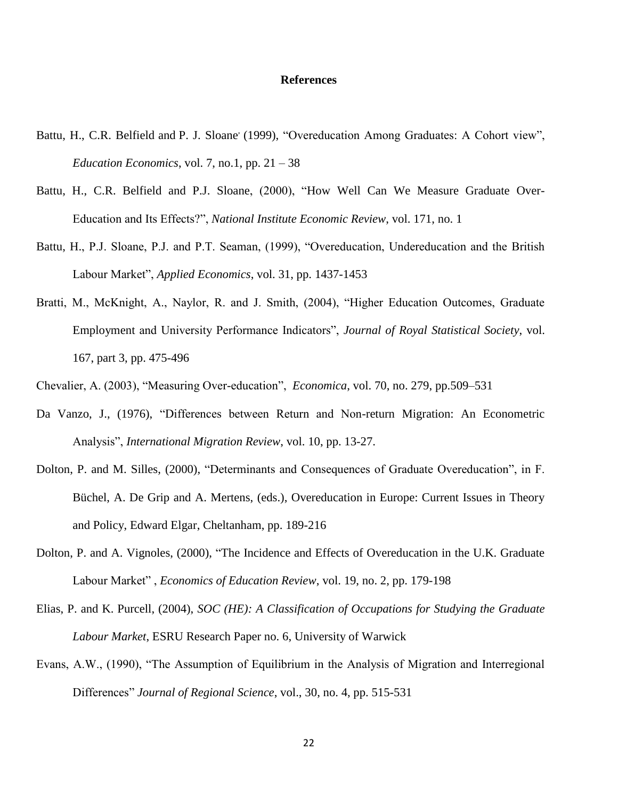#### **References**

- Battu, H., C.R. Belfield and P. J. Sloane (1999), "Overeducation Among Graduates: A Cohort view", *Education Economics*, [vol. 7, no.1, p](http://www.informaworld.com/smpp/title~db=all~content=t713415403~tab=issueslist~branches=7#v7)p.  $21 - 38$
- Battu, H., [C.R. Belfield](http://ner.sagepub.com/search?author1=C.R.+Belfield&sortspec=date&submit=Submit) and [P.J. Sloane,](http://ner.sagepub.com/search?author1=P.J.+Sloane&sortspec=date&submit=Submit) (2000), "How Well Can We Measure Graduate Over-Education and Its Effects?", *National Institute Economic Review*, vol. 171, no. 1
- Battu, H., P.J. Sloane, P.J. and P.T. Seaman, (1999), "Overeducation, Undereducation and the British Labour Market", *Applied Economics*, vol. 31, pp. 1437-1453
- Bratti, M., McKnight, A., Naylor, R. and J. Smith, (2004), "Higher Education Outcomes, Graduate Employment and University Performance Indicators", *Journal of Royal Statistical Society*, vol. 167, part 3, pp. 475-496
- Chevalier, A. (2003), "Measuring Over-education", *Economica*, [vol. 70, no. 279, p](http://onlinelibrary.wiley.com/doi/10.1111/ecca.2003.70.issue-279/issuetoc)p.509–531
- Da Vanzo, J., (1976), "Differences between Return and Non-return Migration: An Econometric Analysis", *International Migration Review*, vol. 10, pp. 13-27.
- Dolton, P. and M. Silles, (2000), "Determinants and Consequences of Graduate Overeducation", in F. Büchel, A. De Grip and A. Mertens, (eds.), Overeducation in Europe: Current Issues in Theory and Policy, Edward Elgar, Cheltanham, pp. 189-216
- Dolton, P. and A. Vignoles, (2000), "The Incidence and Effects of Overeducation in the U.K. Graduate Labour Market" , *[Economics of Education Review](http://www.sciencedirect.com/science/journal/02727757)*, [vol. 19, no. 2,](http://www.sciencedirect.com/science?_ob=PublicationURL&_tockey=%23TOC%235921%232000%23999809997%23161053%23FLA%23&_cdi=5921&_pubType=J&view=c&_auth=y&_acct=C000050221&_version=1&_urlVersion=0&_userid=10&md5=fb3e246fe7955ad38274e41869f6cb83) pp. 179-198
- Elias, P. and K. Purcell, (2004), *SOC (HE): A Classification of Occupations for Studying the Graduate Labour Market*, ESRU Research Paper no. 6, University of Warwick
- Evans, A.W., (1990), "The Assumption of Equilibrium in the Analysis of Migration and Interregional Differences" *Journal of Regional Science*, vol., 30, no. 4, pp. 515-531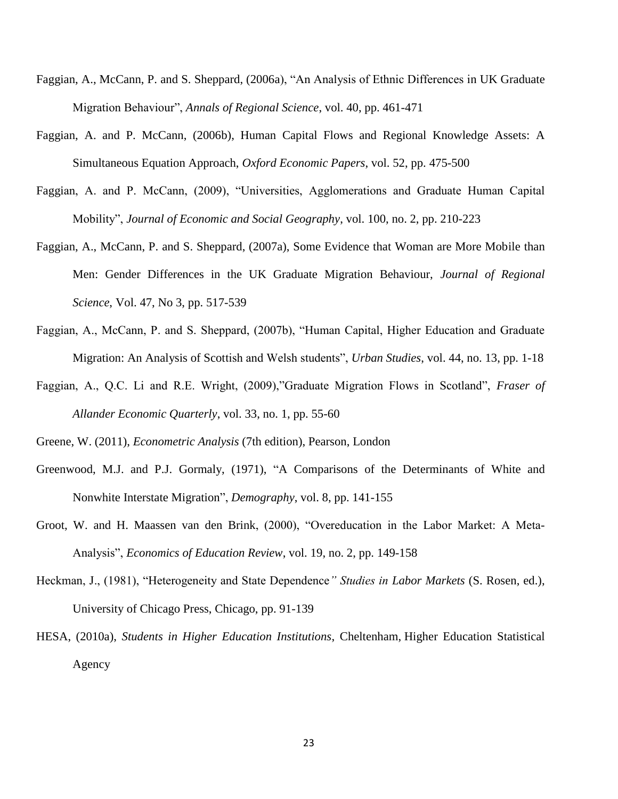- Faggian, A., McCann, P. and S. Sheppard, (2006a), "An Analysis of Ethnic Differences in UK Graduate Migration Behaviour", *Annals of Regional Science*, vol. 40, pp. 461-471
- Faggian, A. and P. McCann, (2006b), Human Capital Flows and Regional Knowledge Assets: A Simultaneous Equation Approach, *Oxford Economic Papers*, vol. 52, pp. 475-500
- Faggian, A. and P. McCann, (2009), "Universities, Agglomerations and Graduate Human Capital Mobility", *Journal of Economic and Social Geography*, vol. 100, no. 2, pp. 210-223
- Faggian, A., McCann, P. and S. Sheppard, (2007a), Some Evidence that Woman are More Mobile than Men: Gender Differences in the UK Graduate Migration Behaviour, *Journal of Regional Science*, Vol. 47, No 3, pp. 517-539
- Faggian, A., McCann, P. and S. Sheppard, (2007b), "Human Capital, Higher Education and Graduate Migration: An Analysis of Scottish and Welsh students", *Urban Studies*, vol. 44, no. 13, pp. 1-18
- Faggian, A., Q.C. Li and R.E. Wright, (2009),"Graduate Migration Flows in Scotland", *Fraser of Allander Economic Quarterly*, vol. 33, no. 1, pp. 55-60
- Greene, W. (2011), *Econometric Analysis* (7th edition), Pearson, London
- Greenwood, M.J. and P.J. Gormaly, (1971), "A Comparisons of the Determinants of White and Nonwhite Interstate Migration", *Demography*, vol. 8, pp. 141-155
- Groot, W. and H. Maassen van den Brink, (2000), "Overeducation in the Labor Market: A Meta-Analysis", *[Economics of Education Review](http://econpapers.repec.org/article/eeeecoedu/)*, vol. 19, no. 2, pp. 149-158
- Heckman, J., (1981), "Heterogeneity and State Dependence*" Studies in Labor Markets* (S. Rosen, ed.), University of Chicago Press, Chicago, pp. 91-139
- HESA, (2010a), *Students in Higher Education Institutions*, Cheltenham, Higher Education Statistical Agency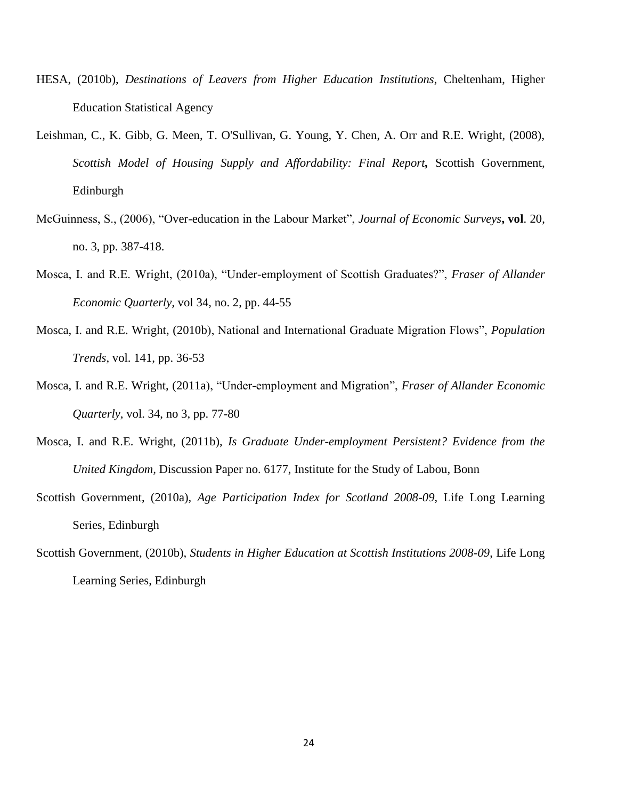- HESA, (2010b), *Destinations of Leavers from Higher Education Institutions*, Cheltenham, Higher Education Statistical Agency
- Leishman, C., K. Gibb, G. Meen, T. O'Sullivan, G. Young, Y. Chen, A. Orr and R.E. Wright, (2008), *Scottish Model of Housing Supply and Affordability: Final Report,* Scottish Government, Edinburgh
- McGuinness, S., (2006), "Over-education in the Labour Market", *Journal of Economic Surveys***, vol**. 20, no. 3, pp. 387-418.
- Mosca, I. and R.E. Wright, (2010a), "Under-employment of Scottish Graduates?", *Fraser of Allander Economic Quarterly,* vol 34, no. 2, pp. 44-55
- Mosca, I. and R.E. Wright, (2010b), National and International Graduate Migration Flows", *Population Trends*, vol. 141, pp. 36-53
- Mosca, I. and R.E. Wright, (2011a), "Under-employment and Migration", *Fraser of Allander Economic Quarterly*, vol. 34, no 3, pp. 77-80
- Mosca, I. and R.E. Wright, (2011b), *Is Graduate Under-employment Persistent? Evidence from the United Kingdom,* Discussion Paper no. 6177, Institute for the Study of Labou, Bonn
- Scottish Government, (2010a), *Age Participation Index for Scotland 2008-09*, Life Long Learning Series, Edinburgh
- Scottish Government, (2010b), *Students in Higher Education at Scottish Institutions 2008-09*, Life Long Learning Series, Edinburgh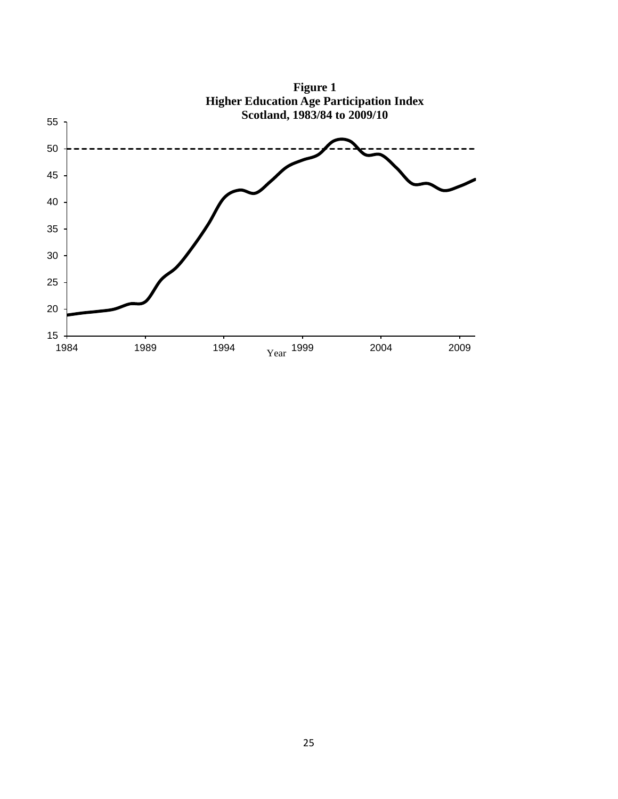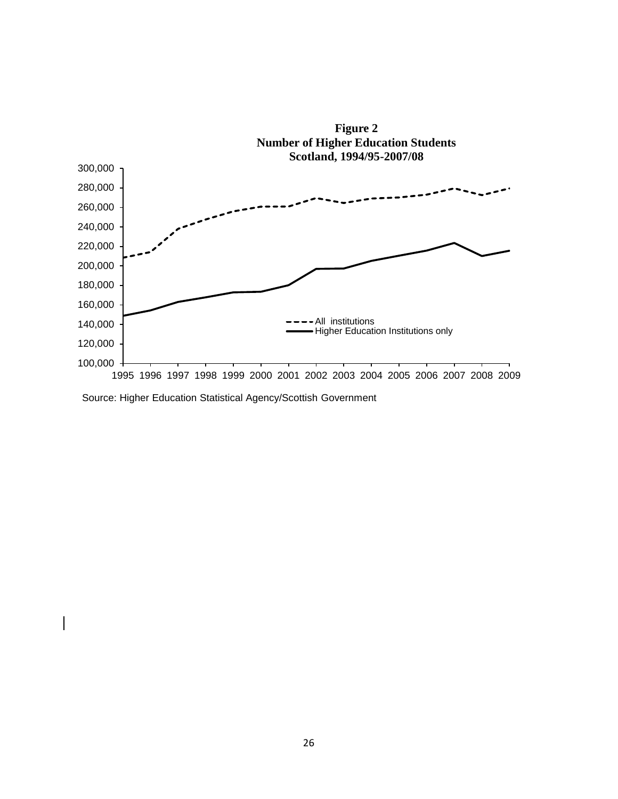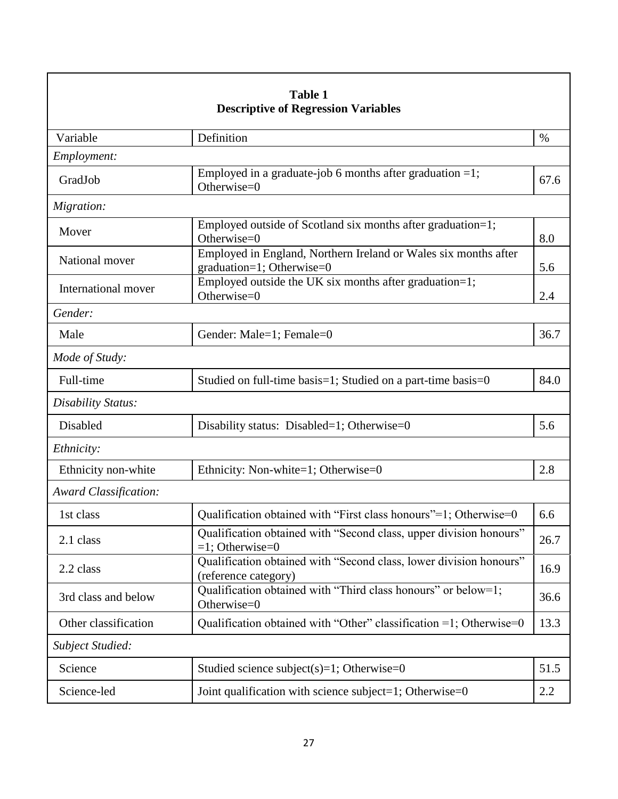| <b>Table 1</b><br><b>Descriptive of Regression Variables</b> |                                                                                              |      |  |  |
|--------------------------------------------------------------|----------------------------------------------------------------------------------------------|------|--|--|
| Variable                                                     | Definition                                                                                   | $\%$ |  |  |
| Employment:                                                  |                                                                                              |      |  |  |
| GradJob                                                      | Employed in a graduate-job 6 months after graduation $=1$ ;<br>Otherwise=0                   | 67.6 |  |  |
| Migration:                                                   |                                                                                              |      |  |  |
| Mover                                                        | Employed outside of Scotland six months after graduation=1;<br>Otherwise=0                   | 8.0  |  |  |
| National mover                                               | Employed in England, Northern Ireland or Wales six months after<br>graduation=1; Otherwise=0 | 5.6  |  |  |
| International mover                                          | Employed outside the UK six months after graduation=1;<br>Otherwise=0                        | 2.4  |  |  |
| Gender:                                                      |                                                                                              |      |  |  |
| Male                                                         | Gender: Male=1; Female=0                                                                     | 36.7 |  |  |
| Mode of Study:                                               |                                                                                              |      |  |  |
| Full-time                                                    | Studied on full-time basis=1; Studied on a part-time basis=0                                 | 84.0 |  |  |
| Disability Status:                                           |                                                                                              |      |  |  |
| Disabled                                                     | Disability status: Disabled=1; Otherwise=0                                                   | 5.6  |  |  |
| Ethnicity:                                                   |                                                                                              |      |  |  |
| Ethnicity non-white                                          | Ethnicity: Non-white=1; Otherwise=0                                                          | 2.8  |  |  |
| <b>Award Classification:</b>                                 |                                                                                              |      |  |  |
| 1st class                                                    | Qualification obtained with "First class honours"=1; Otherwise=0                             | 6.6  |  |  |
| 2.1 class                                                    | Qualification obtained with "Second class, upper division honours"<br>$=1$ ; Otherwise=0     | 26.7 |  |  |
| 2.2 class                                                    | Qualification obtained with "Second class, lower division honours"<br>(reference category)   | 16.9 |  |  |
| 3rd class and below                                          | Qualification obtained with "Third class honours" or below=1;<br>Otherwise=0                 | 36.6 |  |  |
| Other classification                                         | Qualification obtained with "Other" classification =1; Otherwise=0                           | 13.3 |  |  |
| Subject Studied:                                             |                                                                                              |      |  |  |
| Science                                                      | Studied science subject(s)=1; Otherwise=0                                                    | 51.5 |  |  |
| Science-led                                                  | Joint qualification with science subject=1; Otherwise=0                                      | 2.2  |  |  |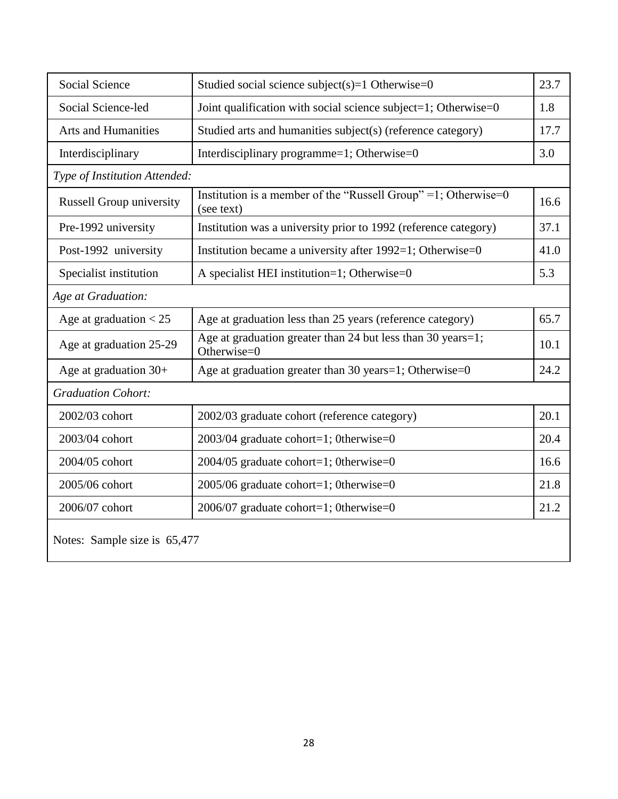| Social Science                  | Studied social science subject(s)=1 Otherwise= $0$                            |      |  |  |  |
|---------------------------------|-------------------------------------------------------------------------------|------|--|--|--|
| Social Science-led              | Joint qualification with social science subject=1; Otherwise=0                | 1.8  |  |  |  |
| <b>Arts and Humanities</b>      | Studied arts and humanities subject(s) (reference category)                   | 17.7 |  |  |  |
| Interdisciplinary               | Interdisciplinary programme=1; Otherwise=0                                    | 3.0  |  |  |  |
| Type of Institution Attended:   |                                                                               |      |  |  |  |
| <b>Russell Group university</b> | Institution is a member of the "Russell Group" = 1; Otherwise=0<br>(see text) | 16.6 |  |  |  |
| Pre-1992 university             | Institution was a university prior to 1992 (reference category)               | 37.1 |  |  |  |
| Post-1992 university            | Institution became a university after $1992=1$ ; Otherwise=0                  | 41.0 |  |  |  |
| Specialist institution          | A specialist HEI institution=1; Otherwise=0                                   | 5.3  |  |  |  |
| Age at Graduation:              |                                                                               |      |  |  |  |
| Age at graduation $<$ 25        | Age at graduation less than 25 years (reference category)                     | 65.7 |  |  |  |
| Age at graduation 25-29         | Age at graduation greater than 24 but less than 30 years=1;<br>Otherwise=0    | 10.1 |  |  |  |
| Age at graduation $30+$         | Age at graduation greater than 30 years=1; Otherwise=0                        | 24.2 |  |  |  |
| <b>Graduation Cohort:</b>       |                                                                               |      |  |  |  |
| 2002/03 cohort                  | 2002/03 graduate cohort (reference category)                                  | 20.1 |  |  |  |
| 2003/04 cohort                  | 2003/04 graduate cohort=1; 0therwise=0                                        | 20.4 |  |  |  |
| 2004/05 cohort                  | $2004/05$ graduate cohort=1; 0therwise=0                                      | 16.6 |  |  |  |
| 2005/06 cohort                  | $2005/06$ graduate cohort=1; 0therwise=0                                      | 21.8 |  |  |  |
| 2006/07 cohort                  | $2006/07$ graduate cohort=1; 0therwise=0                                      | 21.2 |  |  |  |
| Notes: Sample size is 65,477    |                                                                               |      |  |  |  |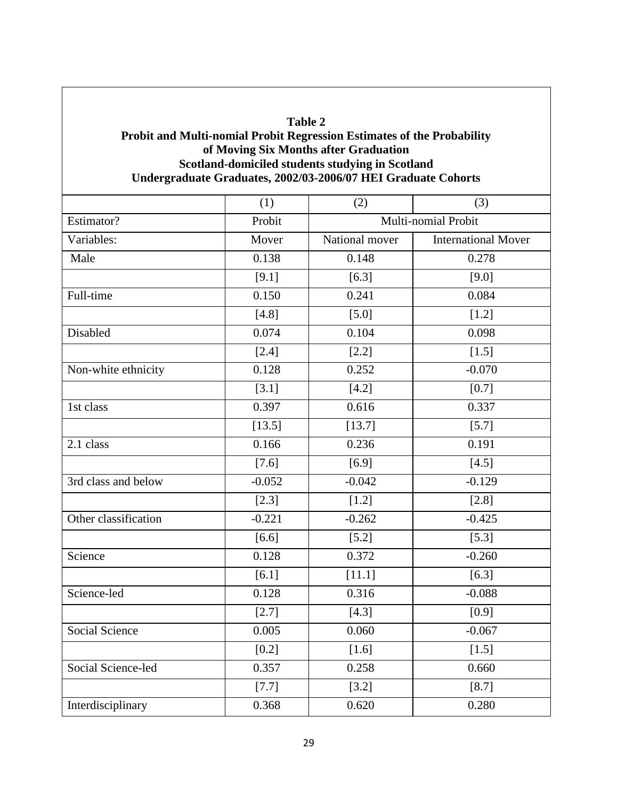### **Table 2 Probit and Multi-nomial Probit Regression Estimates of the Probability of Moving Six Months after Graduation Scotland-domiciled students studying in Scotland Undergraduate Graduates, 2002/03-2006/07 HEI Graduate Cohorts**

|                       | (1)      | (2)                                          | (3)      |  |
|-----------------------|----------|----------------------------------------------|----------|--|
| Estimator?            | Probit   | Multi-nomial Probit                          |          |  |
| Variables:            | Mover    | <b>International Mover</b><br>National mover |          |  |
| Male                  | 0.138    | 0.148                                        | 0.278    |  |
|                       | [9.1]    | [6.3]                                        | [9.0]    |  |
| Full-time             | 0.150    | 0.241                                        | 0.084    |  |
|                       | [4.8]    | $[5.0]$                                      | $[1.2]$  |  |
| Disabled              | 0.074    | 0.104                                        | 0.098    |  |
|                       | $[2.4]$  | $[2.2]$                                      | $[1.5]$  |  |
| Non-white ethnicity   | 0.128    | 0.252                                        | $-0.070$ |  |
|                       | [3.1]    | $[4.2]$                                      | $[0.7]$  |  |
| 1st class             | 0.397    | 0.616                                        | 0.337    |  |
|                       | [13.5]   | [13.7]                                       | $[5.7]$  |  |
| 2.1 class             | 0.166    | 0.236                                        | 0.191    |  |
|                       | $[7.6]$  | $[6.9]$                                      | [4.5]    |  |
| 3rd class and below   | $-0.052$ | $-0.042$                                     | $-0.129$ |  |
|                       | [2.3]    | $[1.2]$                                      | [2.8]    |  |
| Other classification  | $-0.221$ | $-0.262$                                     | $-0.425$ |  |
|                       | $[6.6]$  | $[5.2]$                                      | $[5.3]$  |  |
| Science               | 0.128    | 0.372                                        | $-0.260$ |  |
|                       | [6.1]    | [11.1]                                       | [6.3]    |  |
| Science-led           | 0.128    | 0.316                                        | $-0.088$ |  |
|                       | [2.7]    | [4.3]                                        | $[0.9]$  |  |
| <b>Social Science</b> | 0.005    | 0.060                                        | $-0.067$ |  |
|                       | $[0.2]$  | $[1.6]$                                      | $[1.5]$  |  |
| Social Science-led    | 0.357    | 0.258                                        | 0.660    |  |
|                       | $[7.7]$  | [3.2]                                        | [8.7]    |  |
| Interdisciplinary     | 0.368    | 0.620                                        | 0.280    |  |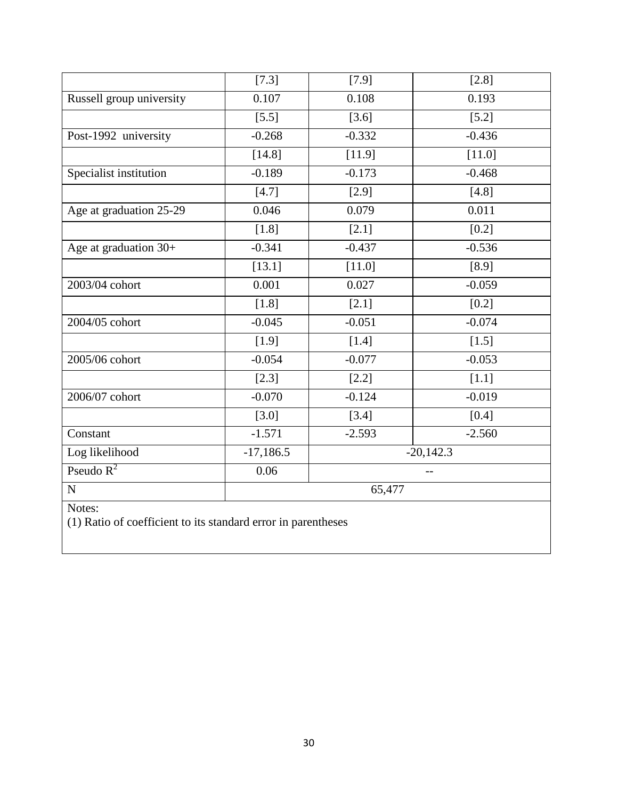|                          | $[7.3]$     | $[7.9]$  | [2.8]       |  |  |
|--------------------------|-------------|----------|-------------|--|--|
| Russell group university | 0.107       | 0.108    | 0.193       |  |  |
|                          | $[5.5]$     | $[3.6]$  | $[5.2]$     |  |  |
| Post-1992 university     | $-0.268$    | $-0.332$ | $-0.436$    |  |  |
|                          | [14.8]      | [11.9]   | [11.0]      |  |  |
| Specialist institution   | $-0.189$    | $-0.173$ | $-0.468$    |  |  |
|                          | [4.7]       | [2.9]    | [4.8]       |  |  |
| Age at graduation 25-29  | 0.046       | 0.079    | 0.011       |  |  |
|                          | $[1.8]$     | [2.1]    | $[0.2]$     |  |  |
| Age at graduation 30+    | $-0.341$    | $-0.437$ | $-0.536$    |  |  |
|                          | [13.1]      | [11.0]   | [8.9]       |  |  |
| 2003/04 cohort           | 0.001       | 0.027    | $-0.059$    |  |  |
|                          | [1.8]       | [2.1]    | $[0.2]$     |  |  |
| 2004/05 cohort           | $-0.045$    | $-0.051$ | $-0.074$    |  |  |
|                          | [1.9]       | [1.4]    | $[1.5]$     |  |  |
| 2005/06 cohort           | $-0.054$    | $-0.077$ | $-0.053$    |  |  |
|                          | $[2.3]$     | $[2.2]$  | $[1.1]$     |  |  |
| 2006/07 cohort           | $-0.070$    | $-0.124$ | $-0.019$    |  |  |
|                          | [3.0]       | [3.4]    | [0.4]       |  |  |
| Constant                 | $-1.571$    | $-2.593$ | $-2.560$    |  |  |
| Log likelihood           | $-17,186.5$ |          | $-20,142.3$ |  |  |
| Pseudo $R^2$             | 0.06        |          | $-$         |  |  |
| $\overline{N}$           | 65,477      |          |             |  |  |
| Notes:                   |             |          |             |  |  |

(1) Ratio of coefficient to its standard error in parentheses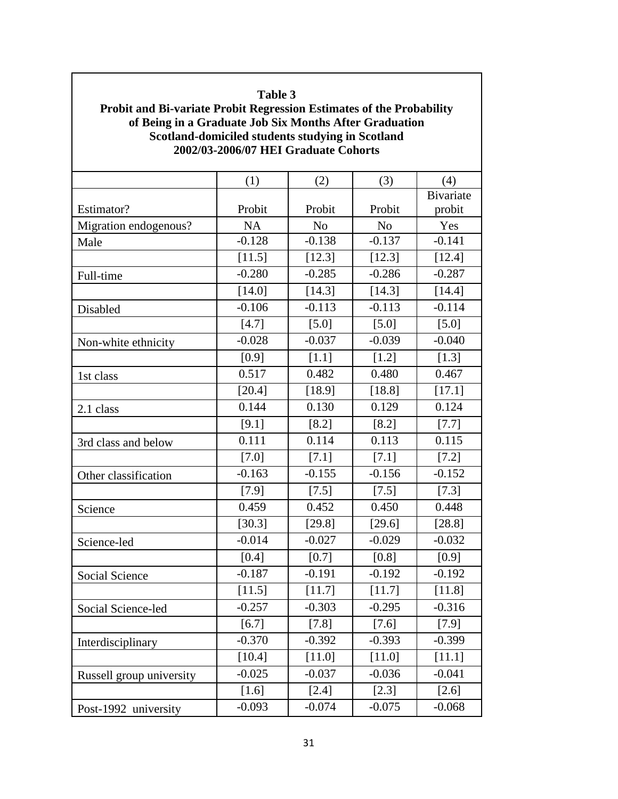# **Table 3 Probit and Bi-variate Probit Regression Estimates of the Probability of Being in a Graduate Job Six Months After Graduation Scotland-domiciled students studying in Scotland 2002/03-2006/07 HEI Graduate Cohorts**  $(1)$   $(2)$   $(3)$   $(4)$ Estimator? Probit Probit Probit Probit Probit Bivariate probit Migration endogenous? | NA | No | No | Yes Male  $-0.128$   $-0.138$   $-0.137$   $-0.141$  $[11.5]$   $[12.3]$   $[12.3]$   $[12.4]$ Full-time  $-0.280$   $-0.285$   $-0.286$   $-0.287$  $[14.0]$   $[14.3]$   $[14.3]$   $[14.4]$ Disabled  $-0.106$   $-0.113$   $-0.113$   $-0.114$  $[4.7]$   $[5.0]$   $[5.0]$   $[5.0]$   $[5.0]$ Non-white ethnicity  $-0.028$   $-0.037$   $-0.039$   $-0.040$  $[0.9]$   $[1.1]$   $[1.2]$   $[1.3]$ 1st class  $0.517$   $0.482$   $0.480$   $0.467$  $[20.4]$   $[18.9]$   $[18.8]$   $[17.1]$ 2.1 class 1.124 0.144 0.130 0.129 0.124  $[9.1]$   $[8.2]$   $[8.2]$   $[7.7]$ 3rd class and below  $\begin{array}{|c|c|c|c|c|c|} \hline 0.111 & 0.114 & 0.113 & 0.115 \ \hline \end{array}$  $[7.0]$   $[7.1]$   $[7.1]$   $[7.1]$   $[7.2]$ Other classification  $\begin{vmatrix} -0.163 & -0.155 & -0.156 & -0.152 \end{vmatrix}$  $[7.9]$   $[7.5]$   $[7.5]$   $[7.3]$ Science 1. 0.459 0.452 0.450 0.448  $[30.3]$   $[29.8]$   $[29.6]$   $[28.8]$ Science-led  $-0.014$   $-0.027$   $-0.029$   $-0.032$  $[0.4]$   $[0.7]$   $[0.8]$   $[0.9]$ Social Science  $\begin{vmatrix} -0.187 & -0.191 & -0.192 & -0.192 \end{vmatrix}$  -0.192  $[11.5]$   $[11.7]$   $[11.7]$   $[11.8]$ Social Science-led  $-0.257$   $-0.303$   $-0.295$   $-0.316$  $[6.7]$   $[7.8]$   $[7.6]$   $[7.9]$ Interdisciplinary 10.370 -0.392 -0.393 -0.399  $[10.4]$   $[11.0]$   $[11.0]$   $[11.1]$ Russell group university  $\begin{vmatrix} -0.025 & -0.037 & -0.036 \end{vmatrix}$  -0.041  $[1.6]$   $[2.4]$   $[2.3]$   $[2.6]$ Post-1992 university  $-0.093$   $-0.074$   $-0.075$   $-0.068$